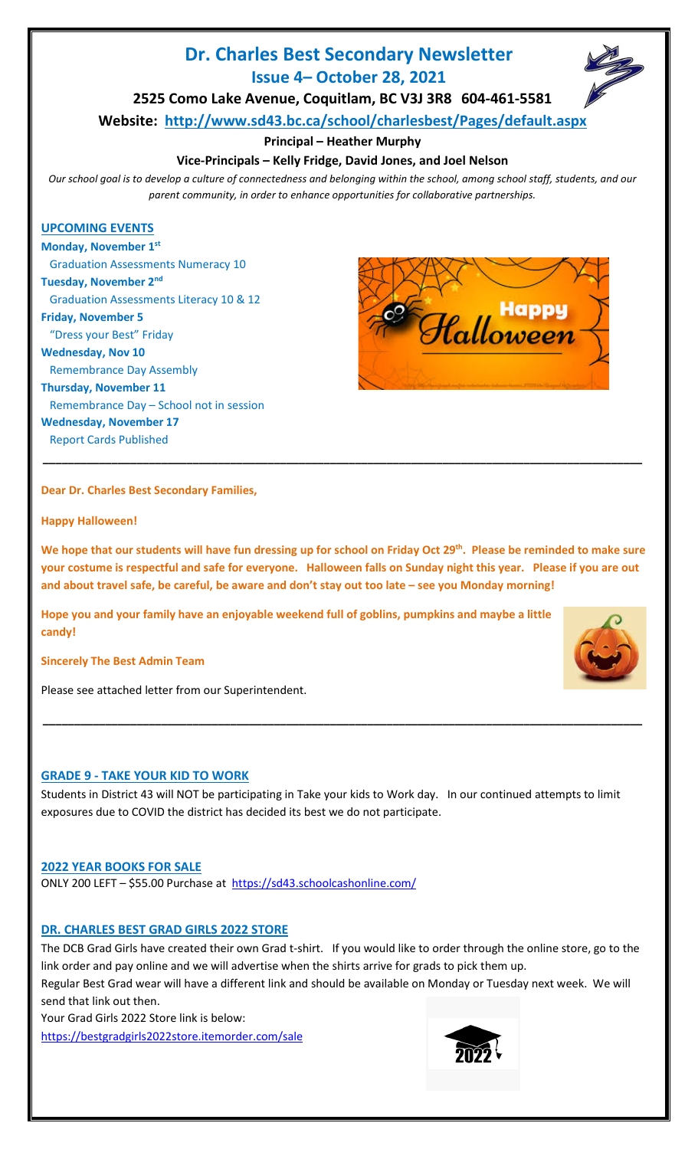# **Dr. Charles Best Secondary Newsletter Issue 4– October 28, 2021**

**2525 Como Lake Avenue, Coquitlam, BC V3J 3R8 604-461-5581**

**Website: <http://www.sd43.bc.ca/school/charlesbest/Pages/default.aspx>**

# **Principal – Heather Murphy**

# **Vice-Principals – Kelly Fridge, David Jones, and Joel Nelson**

*Our school goal is to develop a culture of connectedness and belonging within the school, among school staff, students, and our parent community, in order to enhance opportunities for collaborative partnerships.*

# **UPCOMING EVENTS**

**Monday, November 1st**  Graduation Assessments Numeracy 10 **Tuesday, November 2nd** Graduation Assessments Literacy 10 & 12 **Friday, November 5**

"Dress your Best" Friday

**Wednesday, Nov 10**

Remembrance Day Assembly

**Thursday, November 11** Remembrance Day – School not in session **Wednesday, November 17** Report Cards Published

Halloween

# **Dear Dr. Charles Best Secondary Families,**

**Happy Halloween!**

**We hope that our students will have fun dressing up for school on Friday Oct 29th. Please be reminded to make sure your costume is respectful and safe for everyone. Halloween falls on Sunday night this year. Please if you are out and about travel safe, be careful, be aware and don't stay out too late – see you Monday morning!**

**\_\_\_\_\_\_\_\_\_\_\_\_\_\_\_\_\_\_\_\_\_\_\_\_\_\_\_\_\_\_\_\_\_\_\_\_\_\_\_\_\_\_\_\_\_\_\_\_\_\_\_\_\_\_\_\_\_\_\_\_\_\_\_\_\_\_\_\_\_\_\_\_\_\_\_\_\_\_\_\_\_\_\_\_\_\_\_\_\_\_\_\_\_\_\_\_**

**Hope you and your family have an enjoyable weekend full of goblins, pumpkins and maybe a little candy!**

**Sincerely The Best Admin Team** 

Please see attached letter from our Superintendent.

# **GRADE 9 - TAKE YOUR KID TO WORK**

Students in District 43 will NOT be participating in Take your kids to Work day. In our continued attempts to limit exposures due to COVID the district has decided its best we do not participate.

**\_\_\_\_\_\_\_\_\_\_\_\_\_\_\_\_\_\_\_\_\_\_\_\_\_\_\_\_\_\_\_\_\_\_\_\_\_\_\_\_\_\_\_\_\_\_\_\_\_\_\_\_\_\_\_\_\_\_\_\_\_\_\_\_\_\_\_\_\_\_\_\_\_\_\_\_\_\_\_\_\_\_\_\_\_\_\_\_\_\_\_\_\_\_\_\_**

# **2022 YEAR BOOKS FOR SALE**

ONLY 200 LEFT – \$55.00 Purchase at <https://sd43.schoolcashonline.com/>

# **DR. CHARLES BEST GRAD GIRLS 2022 STORE**

The DCB Grad Girls have created their own Grad t-shirt. If you would like to order through the online store, go to the link order and pay online and we will advertise when the shirts arrive for grads to pick them up.

Regular Best Grad wear will have a different link and should be available on Monday or Tuesday next week. We will send that link out then.

Your Grad Girls 2022 Store link is below: <https://bestgradgirls2022store.itemorder.com/sale>







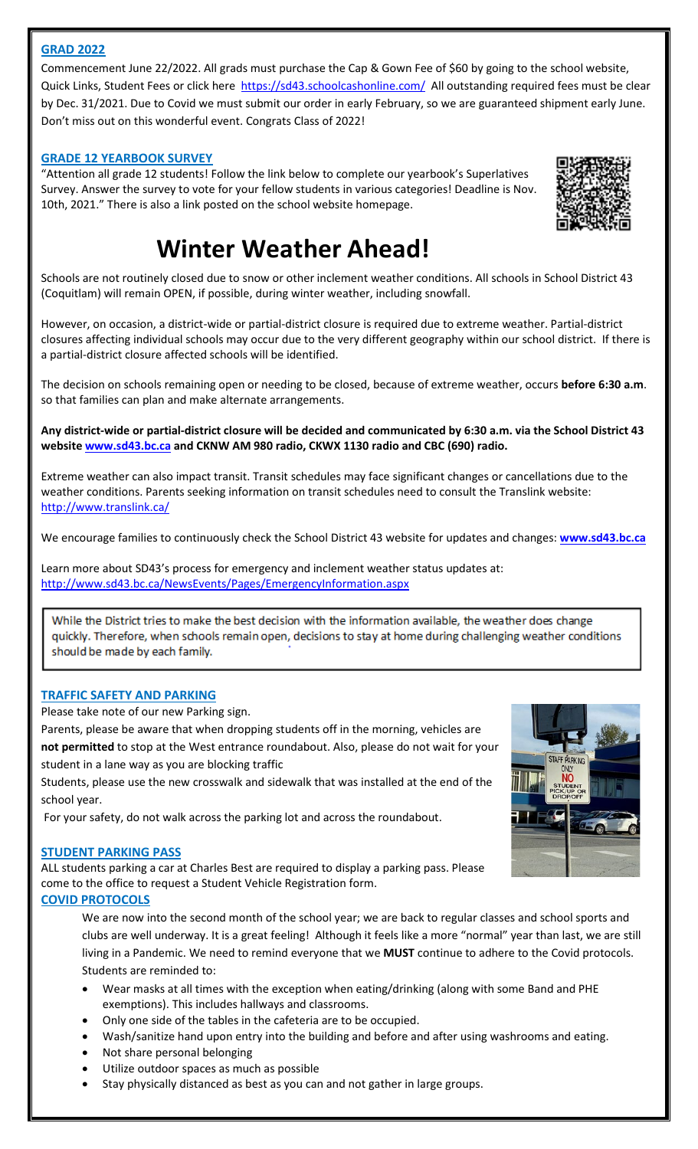# **GRAD 2022**

Commencement June 22/2022. All grads must purchase the Cap & Gown Fee of \$60 by going to the school website, Quick Links, Student Fees or click here <https://sd43.schoolcashonline.com/> All outstanding required fees must be clear by Dec. 31/2021. Due to Covid we must submit our order in early February, so we are guaranteed shipment early June. Don't miss out on this wonderful event. Congrats Class of 2022!

#### **GRADE 12 YEARBOOK SURVEY**

"Attention all grade 12 students! Follow the link below to complete our yearbook's Superlatives Survey. Answer the survey to vote for your fellow students in various categories! Deadline is Nov. 10th, 2021." There is also a link posted on the school website homepage.



# **Winter Weather Ahead!**

Schools are not routinely closed due to snow or other inclement weather conditions. All schools in School District 43 (Coquitlam) will remain OPEN, if possible, during winter weather, including snowfall.

However, on occasion, a district-wide or partial-district closure is required due to extreme weather. Partial-district closures affecting individual schools may occur due to the very different geography within our school district. If there is a partial-district closure affected schools will be identified.

The decision on schools remaining open or needing to be closed, because of extreme weather, occurs **before 6:30 a.m**. so that families can plan and make alternate arrangements.

**Any district-wide or partial-district closure will be decided and communicated by 6:30 a.m. via the School District 43 websit[e www.sd43.bc.ca](http://www.sd43.bc.ca/) and CKNW AM 980 radio, CKWX 1130 radio and CBC (690) radio.**

Extreme weather can also impact transit. Transit schedules may face significant changes or cancellations due to the weather conditions. Parents seeking information on transit schedules need to consult the Translink website: <http://www.translink.ca/>

We encourage families to continuously check the School District 43 website for updates and changes: **[www.sd43.bc.ca](http://www.sd43.bc.ca/)**

Learn more about SD43's process for emergency and inclement weather status updates at: <http://www.sd43.bc.ca/NewsEvents/Pages/EmergencyInformation.aspx>

While the District tries to make the best decision with the information available, the weather does change quickly. Therefore, when schools remain open, decisions to stay at home during challenging weather conditions should be made by each family.

# **TRAFFIC SAFETY AND PARKING**

Please take note of our new Parking sign.

Parents, please be aware that when dropping students off in the morning, vehicles are **not permitted** to stop at the West entrance roundabout. Also, please do not wait for your student in a lane way as you are blocking traffic

Students, please use the new crosswalk and sidewalk that was installed at the end of the school year.

For your safety, do not walk across the parking lot and across the roundabout.

#### **STUDENT PARKING PASS**

ALL students parking a car at Charles Best are required to display a parking pass. Please come to the office to request a Student Vehicle Registration form.

# **COVID PROTOCOLS**

We are now into the second month of the school year; we are back to regular classes and school sports and clubs are well underway. It is a great feeling! Although it feels like a more "normal" year than last, we are still living in a Pandemic. We need to remind everyone that we **MUST** continue to adhere to the Covid protocols. Students are reminded to:

- Wear masks at all times with the exception when eating/drinking (along with some Band and PHE exemptions). This includes hallways and classrooms.
- Only one side of the tables in the cafeteria are to be occupied.
- Wash/sanitize hand upon entry into the building and before and after using washrooms and eating.
- Not share personal belonging
- Utilize outdoor spaces as much as possible
- Stay physically distanced as best as you can and not gather in large groups.

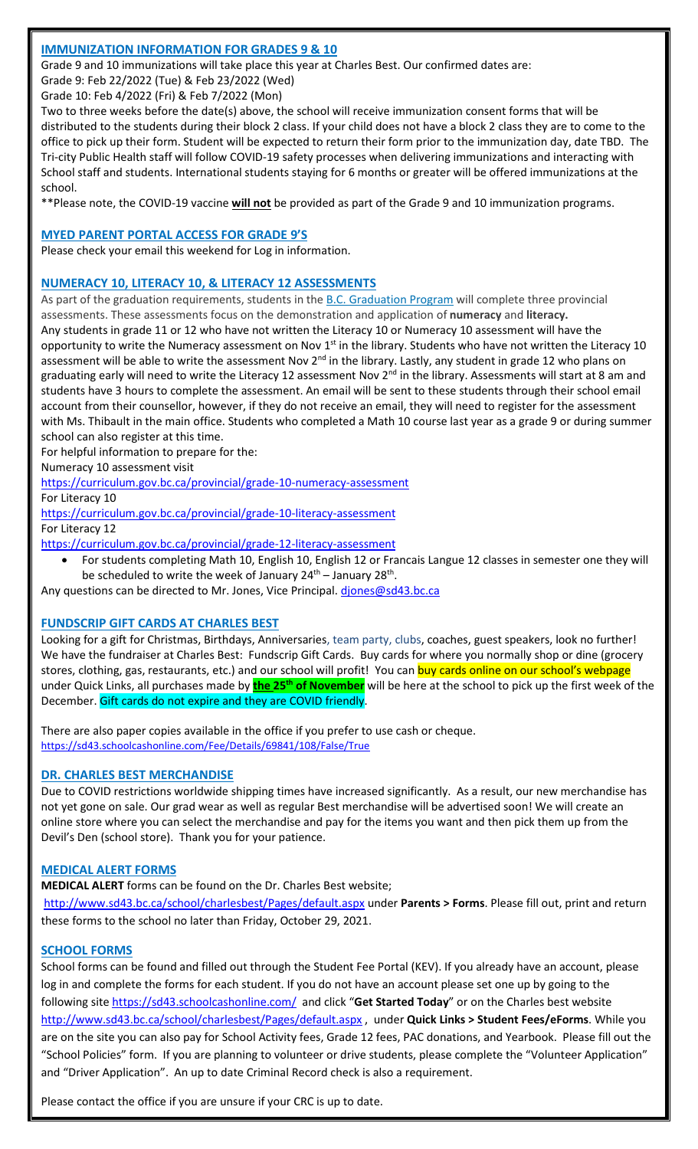# **IMMUNIZATION INFORMATION FOR GRADES 9 & 10**

Grade 9 and 10 immunizations will take place this year at Charles Best. Our confirmed dates are:

Grade 9: Feb 22/2022 (Tue) & Feb 23/2022 (Wed)

Grade 10: Feb 4/2022 (Fri) & Feb 7/2022 (Mon)

Two to three weeks before the date(s) above, the school will receive immunization consent forms that will be distributed to the students during their block 2 class. If your child does not have a block 2 class they are to come to the office to pick up their form. Student will be expected to return their form prior to the immunization day, date TBD. The Tri-city Public Health staff will follow COVID-19 safety processes when delivering immunizations and interacting with School staff and students. International students staying for 6 months or greater will be offered immunizations at the school.

\*\*Please note, the COVID-19 vaccine **will not** be provided as part of the Grade 9 and 10 immunization programs.

#### **MYED PARENT PORTAL ACCESS FOR GRADE 9'S**

Please check your email this weekend for Log in information.

#### **NUMERACY 10, LITERACY 10, & LITERACY 12 ASSESSMENTS**

As part of the graduation requirements, students in the **[B.C. Graduation Program](https://www2.gov.bc.ca/gov/content/education-training/k-12/support/graduation)** will complete three provincial assessments. These assessments focus on the demonstration and application of **numeracy** and **literacy.** Any students in grade 11 or 12 who have not written the Literacy 10 or Numeracy 10 assessment will have the opportunity to write the Numeracy assessment on Nov 1<sup>st</sup> in the library. Students who have not written the Literacy 10 assessment will be able to write the assessment Nov 2<sup>nd</sup> in the library. Lastly, any student in grade 12 who plans on graduating early will need to write the Literacy 12 assessment Nov 2<sup>nd</sup> in the library. Assessments will start at 8 am and students have 3 hours to complete the assessment. An email will be sent to these students through their school email account from their counsellor, however, if they do not receive an email, they will need to register for the assessment with Ms. Thibault in the main office. Students who completed a Math 10 course last year as a grade 9 or during summer school can also register at this time.

For helpful information to prepare for the:

Numeracy 10 assessment visit

<https://curriculum.gov.bc.ca/provincial/grade-10-numeracy-assessment>

For Literacy 10

<https://curriculum.gov.bc.ca/provincial/grade-10-literacy-assessment> For Literacy 12

<https://curriculum.gov.bc.ca/provincial/grade-12-literacy-assessment>

• For students completing Math 10, English 10, English 12 or Francais Langue 12 classes in semester one they will be scheduled to write the week of January  $24^{th}$  – January  $28^{th}$ .

Any questions can be directed to Mr. Jones, Vice Principal. [djones@sd43.bc.ca](mailto:djones@sd43.bc.ca)

# **FUNDSCRIP GIFT CARDS AT CHARLES BEST**

Looking for a gift for Christmas, Birthdays, Anniversaries, team party, clubs, coaches, guest speakers, look no further! We have the fundraiser at Charles Best: Fundscrip Gift Cards. Buy cards for where you normally shop or dine (grocery stores, clothing, gas, restaurants, etc.) and our school will profit! You can buy cards online on our school's webpage under Quick Links, all purchases made by **the 25th of November** will be here at the school to pick up the first week of the December. Gift cards do not expire and they are COVID friendly.

There are also paper copies available in the office if you prefer to use cash or cheque. <https://sd43.schoolcashonline.com/Fee/Details/69841/108/False/True>

# **DR. CHARLES BEST MERCHANDISE**

Due to COVID restrictions worldwide shipping times have increased significantly. As a result, our new merchandise has not yet gone on sale. Our grad wear as well as regular Best merchandise will be advertised soon! We will create an online store where you can select the merchandise and pay for the items you want and then pick them up from the Devil's Den (school store). Thank you for your patience.

# **MEDICAL ALERT FORMS**

**MEDICAL ALERT** forms can be found on the Dr. Charles Best website;

<http://www.sd43.bc.ca/school/charlesbest/Pages/default.aspx> under **Parents > Forms**. Please fill out, print and return these forms to the school no later than Friday, October 29, 2021.

# **SCHOOL FORMS**

School forms can be found and filled out through the Student Fee Portal (KEV). If you already have an account, please log in and complete the forms for each student. If you do not have an account please set one up by going to the following site<https://sd43.schoolcashonline.com/> and click "**Get Started Today**" or on the Charles best website <http://www.sd43.bc.ca/school/charlesbest/Pages/default.aspx> , under **Quick Links > Student Fees/eForms**. While you are on the site you can also pay for School Activity fees, Grade 12 fees, PAC donations, and Yearbook. Please fill out the "School Policies" form. If you are planning to volunteer or drive students, please complete the "Volunteer Application" and "Driver Application". An up to date Criminal Record check is also a requirement.

Please contact the office if you are unsure if your CRC is up to date.